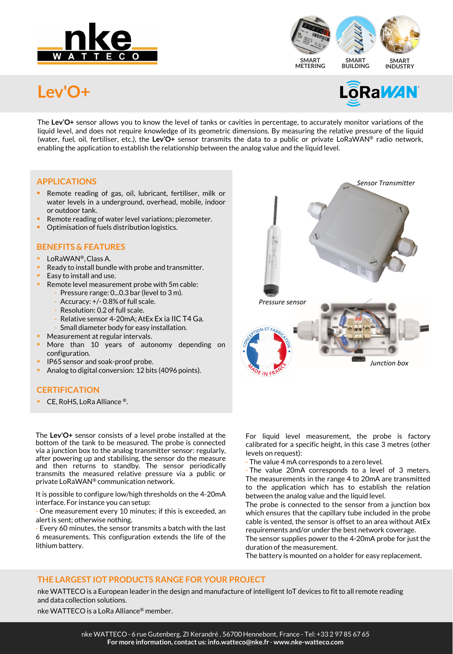



# **Lev'O+**



The **Lev'O+** sensor allows you to know the level of tanks or cavities in percentage, to accurately monitor variations of the liquid level, and does not require knowledge of its geometric dimensions. By measuring the relative pressure of the liquid (water, fuel, oil, fertiliser, etc.), the **Lev'O+** sensor transmits the data to a public or private LoRaWAN® radio network, enabling the application to establish the relationship between the analog value and the liquid level.

### **APPLICATIONS**

- **Remote reading of gas, oil, lubricant, fertiliser, milk or** water levels in a underground, overhead, mobile, indoor or outdoor tank.
- Remote reading of water level variations; piezometer.
- Optimisation of fuels distribution logistics.

# **BENEFITS & FEATURES**

- LoRaWAN®,Class A.
- Ready to install bundle with probe and transmitter.
- Easy to install and use.
- Remote level measurement probe with 5m cable:
	- Pressure range: 0...0.3 bar (level to 3 m).
	- Accuracy: +/- 0.8% of full scale.
	- Resolution: 0.2 of full scale.
	- Relative sensor 4-20mA; AtEx Ex ia IIC T4 Ga.
	- Small diameter body for easy installation.
	- Measurement at regular intervals.
- More than 10 years of autonomy depending on configuration.
- IP65 sensor and soak-proof probe.
- Analog to digital conversion: 12 bits (4096 points).

#### **CERTIFICATION**

CE, RoHS, LoRa Alliance ®.

The **Lev'O+** sensor consists of a level probe installed at the bottom of the tank to be measured. The probe is connected via a junction box to the analog transmitter sensor: regularly, after powering up and stabilising, the sensor do the measure and then returns to standby. The sensor periodically transmits the measured relative pressure via a public or private LoRaWAN® communication network.

It is possible to configure low/high thresholds on the 4-20mA interface. For instance you can setup:

- One measurement every 10 minutes; if this is exceeded, an alert is sent; otherwise nothing.

- Every 60 minutes, the sensor transmits a batch with the last 6 measurements. This configuration extends the life of the lithium battery.



For liquid level measurement, the probe is factory calibrated for a specific height, in this case 3 metres (other levels on request):

- The value 4 mA corresponds to a zero level.

The value 20mA corresponds to a level of 3 meters. The measurements in the range 4 to 20mA are transmitted to the application which has to establish the relation between the analog value and the liquid level.

The probe is connected to the sensor from a junction box which ensures that the capillary tube included in the probe cable is vented, the sensor is offset to an area without AtEx requirements and/or under the best network coverage.

The sensor supplies power to the 4-20mA probe for just the duration of the measurement.

The battery is mounted on a holder for easy replacement.

### **THE LARGEST IOT PRODUCTS RANGE FOR YOUR PROJECT**

nke WATTECO is a European leader in the design and manufacture of intelligent IoT devices to fit to all remote reading and data collection solutions.

nke WATTECO is a LoRa Alliance® member.